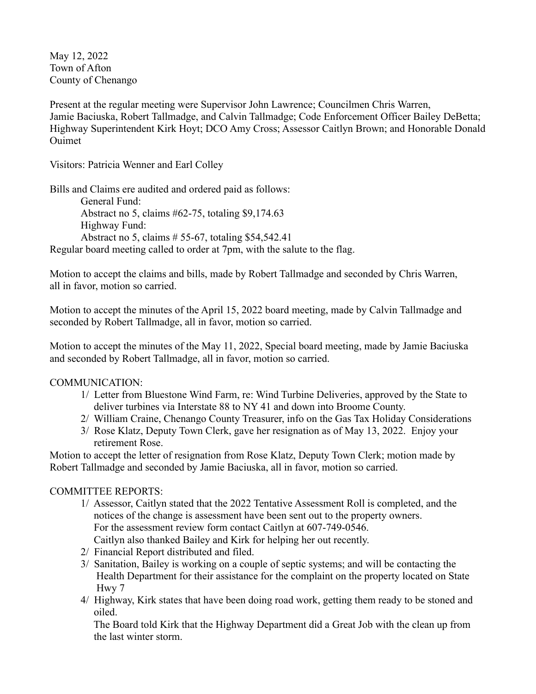May 12, 2022 Town of Afton County of Chenango

Present at the regular meeting were Supervisor John Lawrence; Councilmen Chris Warren, Jamie Baciuska, Robert Tallmadge, and Calvin Tallmadge; Code Enforcement Officer Bailey DeBetta; Highway Superintendent Kirk Hoyt; DCO Amy Cross; Assessor Caitlyn Brown; and Honorable Donald Ouimet

Visitors: Patricia Wenner and Earl Colley

Bills and Claims ere audited and ordered paid as follows: General Fund: Abstract no 5, claims #62-75, totaling \$9,174.63 Highway Fund: Abstract no 5, claims # 55-67, totaling \$54,542.41 Regular board meeting called to order at 7pm, with the salute to the flag.

Motion to accept the claims and bills, made by Robert Tallmadge and seconded by Chris Warren, all in favor, motion so carried.

Motion to accept the minutes of the April 15, 2022 board meeting, made by Calvin Tallmadge and seconded by Robert Tallmadge, all in favor, motion so carried.

Motion to accept the minutes of the May 11, 2022, Special board meeting, made by Jamie Baciuska and seconded by Robert Tallmadge, all in favor, motion so carried.

## COMMUNICATION:

- 1/ Letter from Bluestone Wind Farm, re: Wind Turbine Deliveries, approved by the State to deliver turbines via Interstate 88 to NY 41 and down into Broome County.
- 2/ William Craine, Chenango County Treasurer, info on the Gas Tax Holiday Considerations
- 3/ Rose Klatz, Deputy Town Clerk, gave her resignation as of May 13, 2022. Enjoy your retirement Rose.

Motion to accept the letter of resignation from Rose Klatz, Deputy Town Clerk; motion made by Robert Tallmadge and seconded by Jamie Baciuska, all in favor, motion so carried.

## COMMITTEE REPORTS:

- 1/ Assessor, Caitlyn stated that the 2022 Tentative Assessment Roll is completed, and the notices of the change is assessment have been sent out to the property owners. For the assessment review form contact Caitlyn at 607-749-0546. Caitlyn also thanked Bailey and Kirk for helping her out recently.
- 2/ Financial Report distributed and filed.
- 3/ Sanitation, Bailey is working on a couple of septic systems; and will be contacting the Health Department for their assistance for the complaint on the property located on State Hwy 7
- 4/ Highway, Kirk states that have been doing road work, getting them ready to be stoned and oiled.

 The Board told Kirk that the Highway Department did a Great Job with the clean up from the last winter storm.